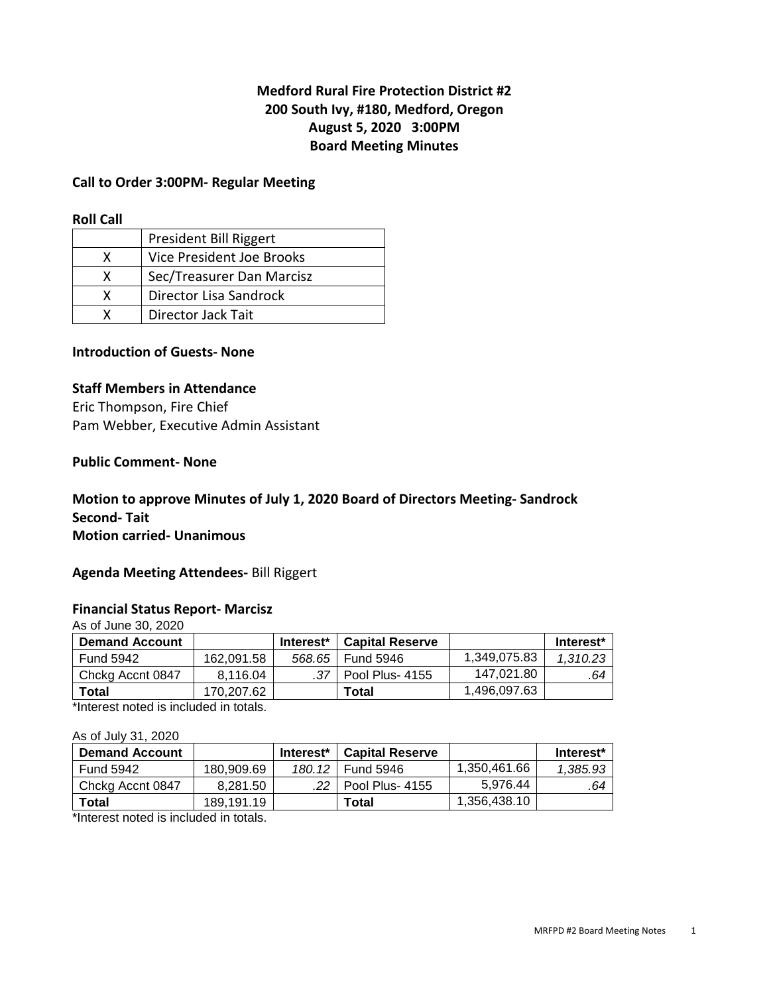# **Medford Rural Fire Protection District #2 200 South Ivy, #180, Medford, Oregon August 5, 2020 3:00PM Board Meeting Minutes**

### **Call to Order 3:00PM- Regular Meeting**

#### **Roll Call**

|   | President Bill Riggert    |
|---|---------------------------|
| x | Vice President Joe Brooks |
| x | Sec/Treasurer Dan Marcisz |
| x | Director Lisa Sandrock    |
|   | <b>Director Jack Tait</b> |

## **Introduction of Guests- None**

#### **Staff Members in Attendance**

Eric Thompson, Fire Chief Pam Webber, Executive Admin Assistant

#### **Public Comment- None**

## **Motion to approve Minutes of July 1, 2020 Board of Directors Meeting- Sandrock Second- Tait Motion carried- Unanimous**

#### **Agenda Meeting Attendees-** Bill Riggert

### **Financial Status Report- Marcisz**

As of June 30, 2020

| <b>Demand Account</b> |            | Interest <sup>*</sup> | <b>Capital Reserve</b> |              | Interest* |
|-----------------------|------------|-----------------------|------------------------|--------------|-----------|
| <b>Fund 5942</b>      | 162.091.58 | 568.65                | I Fund 5946            | 1,349,075.83 | 1.310.23  |
| Chckg Accnt 0847      | 8.116.04   |                       | Pool Plus- 4155        | 147.021.80   | .64       |
| Total                 | 170.207.62 |                       | Total                  | 1,496,097.63 |           |

\*Interest noted is included in totals.

#### As of July 31, 2020

|            | Interest* | <b>Capital Reserve</b> |                        | Interest* |
|------------|-----------|------------------------|------------------------|-----------|
| 180.909.69 | 180.12    | <b>Fund 5946</b>       | 1,350,461.66           | 1.385.93  |
| 8.281.50   |           |                        | 5.976.44               | .64       |
| 189.191.19 |           | Total                  | 1,356,438.10           |           |
|            |           |                        | $\mid$ Pool Plus- 4155 |           |

\*Interest noted is included in totals.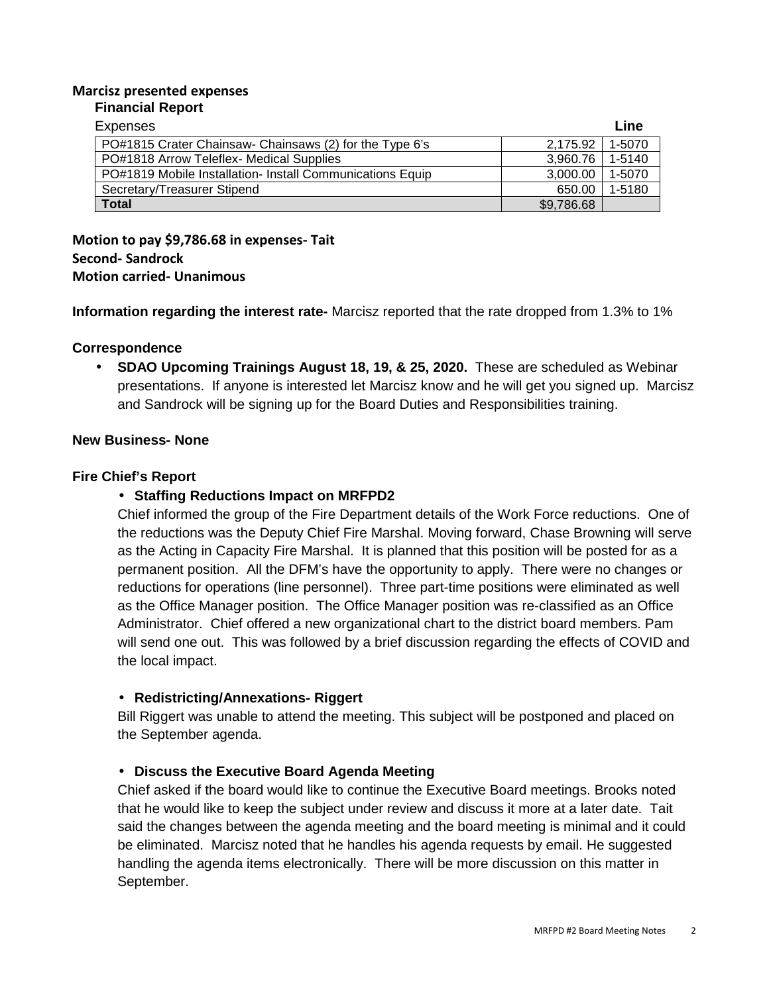#### **Marcisz presented expenses Financial Report**

| Expenses                                                  |            | Line   |
|-----------------------------------------------------------|------------|--------|
| PO#1815 Crater Chainsaw- Chainsaws (2) for the Type 6's   | 2.175.92   | 1-5070 |
| PO#1818 Arrow Teleflex- Medical Supplies                  | 3.960.76   | 1-5140 |
| PO#1819 Mobile Installation- Install Communications Equip | 3,000.00   | 1-5070 |
| Secretary/Treasurer Stipend                               | 650.00     | 1-5180 |
| <b>Total</b>                                              | \$9,786.68 |        |

**Motion to pay \$9,786.68 in expenses- Tait Second- Sandrock Motion carried- Unanimous** 

**Information regarding the interest rate-** Marcisz reported that the rate dropped from 1.3% to 1%

## **Correspondence**

• **SDAO Upcoming Trainings August 18, 19, & 25, 2020.** These are scheduled as Webinar presentations. If anyone is interested let Marcisz know and he will get you signed up. Marcisz and Sandrock will be signing up for the Board Duties and Responsibilities training.

## **New Business- None**

## **Fire Chief's Report**

## • **Staffing Reductions Impact on MRFPD2**

Chief informed the group of the Fire Department details of the Work Force reductions. One of the reductions was the Deputy Chief Fire Marshal. Moving forward, Chase Browning will serve as the Acting in Capacity Fire Marshal. It is planned that this position will be posted for as a permanent position. All the DFM's have the opportunity to apply. There were no changes or reductions for operations (line personnel). Three part-time positions were eliminated as well as the Office Manager position. The Office Manager position was re-classified as an Office Administrator. Chief offered a new organizational chart to the district board members. Pam will send one out. This was followed by a brief discussion regarding the effects of COVID and the local impact.

# • **Redistricting/Annexations- Riggert**

Bill Riggert was unable to attend the meeting. This subject will be postponed and placed on the September agenda.

# • **Discuss the Executive Board Agenda Meeting**

Chief asked if the board would like to continue the Executive Board meetings. Brooks noted that he would like to keep the subject under review and discuss it more at a later date. Tait said the changes between the agenda meeting and the board meeting is minimal and it could be eliminated. Marcisz noted that he handles his agenda requests by email. He suggested handling the agenda items electronically. There will be more discussion on this matter in September.